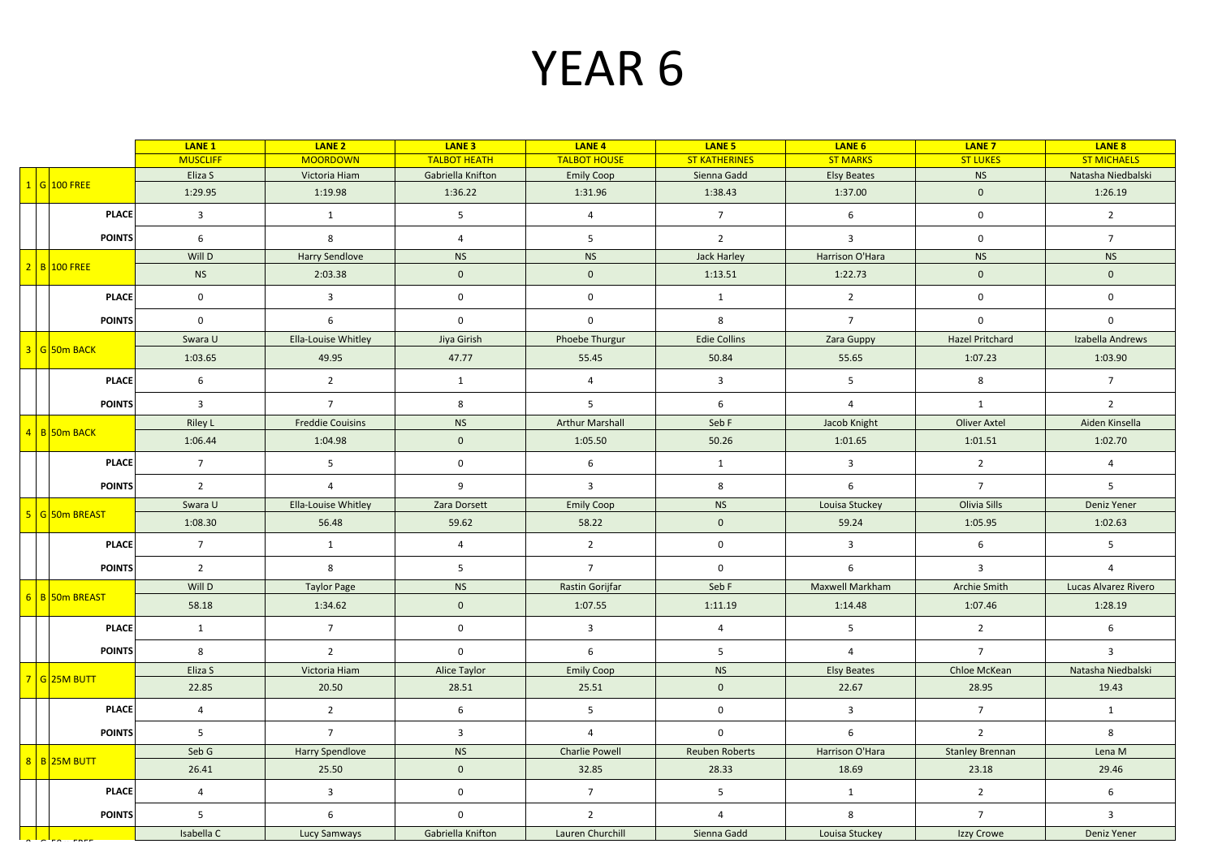## YEAR 6

|  |                 | LANE <sub>1</sub> | LANE <sub>2</sub>       | LANE <sub>3</sub>       | LANE <sub>4</sub>      | LANE <sub>5</sub>       | LANE <sub>6</sub>       | <b>LANE 7</b>           | LANE 8               |
|--|-----------------|-------------------|-------------------------|-------------------------|------------------------|-------------------------|-------------------------|-------------------------|----------------------|
|  |                 | <b>MUSCLIFF</b>   | <b>MOORDOWN</b>         | <b>TALBOT HEATH</b>     | <b>TALBOT HOUSE</b>    | <b>ST KATHERINES</b>    | <b>ST MARKS</b>         | <b>ST LUKES</b>         | <b>ST MICHAELS</b>   |
|  | $1 G $ 100 FREE | Eliza S           | Victoria Hiam           | Gabriella Knifton       | <b>Emily Coop</b>      | Sienna Gadd             | <b>Elsy Beates</b>      | <b>NS</b>               | Natasha Niedbalski   |
|  |                 | 1:29.95           | 1:19.98                 | 1:36.22                 | 1:31.96                | 1:38.43                 | 1:37.00                 | $\mathbf{0}$            | 1:26.19              |
|  | <b>PLACE</b>    | $\overline{3}$    | $\mathbf{1}$            | 5 <sup>5</sup>          | $\overline{4}$         | $7\overline{ }$         | 6                       | $\mathbf 0$             | $\overline{2}$       |
|  | <b>POINTS</b>   | 6                 | 8                       | $\overline{4}$          | 5                      | $\overline{2}$          | $\overline{3}$          | $\mathbf 0$             | $7\overline{ }$      |
|  | 2 B 100 FREE    | Will D            | <b>Harry Sendlove</b>   | <b>NS</b>               | <b>NS</b>              | Jack Harley             | Harrison O'Hara         | <b>NS</b>               | <b>NS</b>            |
|  |                 | <b>NS</b>         | 2:03.38                 | $\mathbf 0$             | $\mathbf{0}$           | 1:13.51                 | 1:22.73                 | $\mathbf{0}$            | $\mathbf{0}$         |
|  | <b>PLACE</b>    | $\mathbf 0$       | $\overline{3}$          | $\mathsf{O}\xspace$     | $\mathbf 0$            | $\mathbf{1}$            | $\overline{2}$          | $\mathbf 0$             | $\mathbf 0$          |
|  | <b>POINTS</b>   | $\mathbf{0}$      | 6                       | $\mathsf 0$             | $\mathbf 0$            | 8                       | $7\overline{ }$         | $\mathbf 0$             | $\mathbf 0$          |
|  | 3 G 50m BACK    | Swara U           | Ella-Louise Whitley     | Jiya Girish             | Phoebe Thurgur         | <b>Edie Collins</b>     | Zara Guppy              | Hazel Pritchard         | Izabella Andrews     |
|  |                 | 1:03.65           | 49.95                   | 47.77                   | 55.45                  | 50.84                   | 55.65                   | 1:07.23                 | 1:03.90              |
|  | <b>PLACE</b>    | 6                 | $2^{\circ}$             | 1                       | $\overline{4}$         | $\overline{\mathbf{3}}$ | 5                       | 8                       | $7\overline{ }$      |
|  | <b>POINTS</b>   | $\overline{3}$    | 7 <sup>7</sup>          | 8                       | 5 <sup>1</sup>         | $6\overline{6}$         | $\overline{4}$          | $\mathbf{1}$            | $\overline{2}$       |
|  |                 | <b>Riley L</b>    | <b>Freddie Couisins</b> | <b>NS</b>               | <b>Arthur Marshall</b> | Seb F                   | Jacob Knight            | Oliver Axtel            | Aiden Kinsella       |
|  | 4 B 50m BACK    | 1:06.44           | 1:04.98                 | $\mathbf 0$             | 1:05.50                | 50.26                   | 1:01.65                 | 1:01.51                 | 1:02.70              |
|  | <b>PLACE</b>    | $\overline{7}$    | 5 <sup>5</sup>          | $\mathsf 0$             | 6                      | 1                       | $\overline{3}$          | $\overline{2}$          | $\overline{4}$       |
|  | <b>POINTS</b>   | $\overline{2}$    | $\overline{4}$          | 9                       | $\overline{3}$         | 8                       | 6                       | $7^{\circ}$             | 5                    |
|  |                 | Swara U           | Ella-Louise Whitley     | Zara Dorsett            | <b>Emily Coop</b>      | <b>NS</b>               | Louisa Stuckey          | Olivia Sills            | Deniz Yener          |
|  | 5 G 50m BREAST  | 1:08.30           | 56.48                   | 59.62                   | 58.22                  | $\mathbf 0$             | 59.24                   | 1:05.95                 | 1:02.63              |
|  | <b>PLACE</b>    | $7\overline{ }$   | 1                       | $\overline{4}$          | $2^{\circ}$            | $\mathbf 0$             | $\overline{\mathbf{3}}$ | 6                       | 5                    |
|  | <b>POINTS</b>   | $\overline{2}$    | 8                       | 5 <sup>5</sup>          | $7^{\circ}$            | $\mathsf 0$             | 6                       | $\overline{\mathbf{3}}$ | $\overline{4}$       |
|  |                 | Will D            | <b>Taylor Page</b>      | <b>NS</b>               | Rastin Gorijfar        | Seb F                   | <b>Maxwell Markham</b>  | <b>Archie Smith</b>     | Lucas Alvarez Rivero |
|  | 6 B 50m BREAST  | 58.18             | 1:34.62                 | $\mathbf 0$             | 1:07.55                | 1:11.19                 | 1:14.48                 | 1:07.46                 | 1:28.19              |
|  | <b>PLACE</b>    | $\mathbf{1}$      | 7 <sup>7</sup>          | $\mathbf 0$             | 3 <sup>1</sup>         | $\overline{4}$          | 5                       | $\overline{2}$          | $6\overline{6}$      |
|  | <b>POINTS</b>   | 8                 | $\overline{2}$          | $\mathsf 0$             | $6\overline{6}$        | $5\phantom{.0}$         | $\overline{4}$          | $\overline{7}$          | $\overline{3}$       |
|  | 7 G 25M BUTT    | Eliza S           | Victoria Hiam           | Alice Taylor            | <b>Emily Coop</b>      | <b>NS</b>               | <b>Elsy Beates</b>      | Chloe McKean            | Natasha Niedbalski   |
|  |                 | 22.85             | 20.50                   | 28.51                   | 25.51                  | $\mathbf 0$             | 22.67                   | 28.95                   | 19.43                |
|  | <b>PLACE</b>    | $\overline{4}$    | $\overline{2}$          | 6                       | $5\overline{)}$        | $\mathsf 0$             | $\overline{\mathbf{3}}$ | $7^{\circ}$             | $\mathbf{1}$         |
|  | <b>POINTS</b>   | 5 <sup>5</sup>    | $7^{\circ}$             | $\overline{\mathbf{3}}$ | $\overline{4}$         | $\mathbf{0}$            | 6                       | $\overline{2}$          | 8                    |
|  | 8 B 25M BUTT    | Seb G             | Harry Spendlove         | <b>NS</b>               | <b>Charlie Powell</b>  | Reuben Roberts          | Harrison O'Hara         | <b>Stanley Brennan</b>  | Lena M               |
|  |                 | 26.41             | 25.50                   | $\mathbf 0$             | 32.85                  | 28.33                   | 18.69                   | 23.18                   | 29.46                |
|  | <b>PLACE</b>    | $\overline{4}$    | $\overline{3}$          | $\mathsf{O}\xspace$     | 7 <sup>7</sup>         | 5 <sup>5</sup>          | 1                       | $2^{\circ}$             | 6                    |
|  | <b>POINTS</b>   | 5                 | $\boldsymbol{6}$        | $\mathsf 0$             | $2^{\circ}$            | $\overline{4}$          | 8                       | $7\overline{ }$         | $\overline{3}$       |
|  |                 | Isabella C        | <b>Lucy Samways</b>     | Gabriella Knifton       | Lauren Churchill       | Sienna Gadd             | Louisa Stuckey          | Izzy Crowe              | Deniz Yener          |